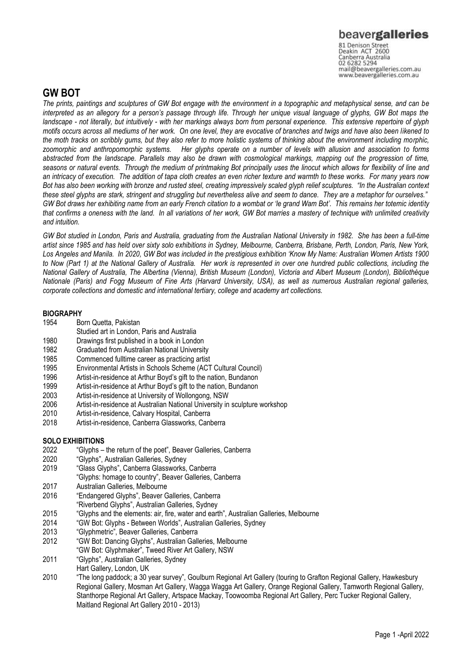# beavergalleries

81 Denison Street<br>Deakin ACT 2600 Canberra Australia 02 6282 5294 mail@beavergalleries.com.au www.beavergalleries.com.au

## **GW BOT**

*The prints, paintings and sculptures of GW Bot engage with the environment in a topographic and metaphysical sense, and can be interpreted as an allegory for a person's passage through life. Through her unique visual language of glyphs, GW Bot maps the landscape - not literally, but intuitively - with her markings always born from personal experience. This extensive repertoire of glyph motifs occurs across all mediums of her work. On one level, they are evocative of branches and twigs and have also been likened to the moth tracks on scribbly gums, but they also refer to more holistic systems of thinking about the environment including morphic, zoomorphic and anthropomorphic systems. Her glyphs operate on a number of levels with allusion and association to forms abstracted from the landscape. Parallels may also be drawn with cosmological markings, mapping out the progression of time, seasons or natural events. Through the medium of printmaking Bot principally uses the linocut which allows for flexibility of line and an intricacy of execution. The addition of tapa cloth creates an even richer texture and warmth to these works. For many years now Bot has also been working with bronze and rusted steel, creating impressively scaled glyph relief sculptures. "In the Australian context these steel glyphs are stark, stringent and struggling but nevertheless alive and seem to dance. They are a metaphor for ourselves." GW Bot draws her exhibiting name from an early French citation to a wombat or 'le grand Wam Bot'. This remains her totemic identity that confirms a oneness with the land. In all variations of her work, GW Bot marries a mastery of technique with unlimited creativity and intuition.*

*GW Bot studied in London, Paris and Australia, graduating from the Australian National University in 1982. She has been a full-time artist since 1985 and has held over sixty solo exhibitions in Sydney, Melbourne, Canberra, Brisbane, Perth, London, Paris, New York,*  Los Angeles and Manila. In 2020, GW Bot was included in the prestigious exhibition 'Know My Name: Australian Women Artists 1900 *to Now (Part 1) at the National Gallery of Australia. Her work is represented in over one hundred public collections, including the National Gallery of Australia, The Albertina (Vienna), British Museum (London), Victoria and Albert Museum (London), Bibliothèque Nationale (Paris) and Fogg Museum of Fine Arts (Harvard University, USA), as well as numerous Australian regional galleries, corporate collections and domestic and international tertiary, college and academy art collections.*

### **BIOGRAPHY**

- 1954 Born Quetta, Pakistan
- Studied art in London, Paris and Australia
- 1980 Drawings first published in a book in London
- 1982 Graduated from Australian National University
- 1985 Commenced fulltime career as practicing artist<br>1995 Environmental Artists in Schools Scheme (ACT
- 1995 Environmental Artists in Schools Scheme (ACT Cultural Council)
- 1996 Artist-in-residence at Arthur Boyd's gift to the nation, Bundanon<br>1999 Artist-in-residence at Arthur Boyd's gift to the nation. Bundanon
- 1999 Artist-in-residence at Arthur Boyd's gift to the nation, Bundanon<br>2003 Artist-in-residence at University of Wollongong, NSW
- 2003 Artist-in-residence at University of Wollongong, NSW
- Artist-in-residence at Australian National University in sculpture workshop
- 2010 Artist-in-residence, Calvary Hospital, Canberra
- 2018 Artist-in-residence, Canberra Glassworks, Canberra

### **SOLO EXHIBITIONS**

- 2022 "Glyphs the return of the poet", Beaver Galleries, Canberra
- 2020 "Glyphs", Australian Galleries, Sydney
- 2019 "Glass Glyphs", Canberra Glassworks, Canberra
- "Glyphs: homage to country", Beaver Galleries, Canberra
- 2017 Australian Galleries, Melbourne
- 2016 "Endangered Glyphs", Beaver Galleries, Canberra
- "Riverbend Glyphs", Australian Galleries, Sydney
- 2015 "Glyphs and the elements: air, fire, water and earth", Australian Galleries, Melbourne
- 2014 "GW Bot: Glyphs Between Worlds", Australian Galleries, Sydney
- 2013 "Glyphmetric", Beaver Galleries, Canberra
- 2012 "GW Bot: Dancing Glyphs", Australian Galleries, Melbourne
- "GW Bot: Glyphmaker", Tweed River Art Gallery, NSW
- 2011 "Glyphs", Australian Galleries, Sydney
- Hart Gallery, London, UK
- 2010 "The long paddock; a 30 year survey", Goulburn Regional Art Gallery (touring to Grafton Regional Gallery, Hawkesbury Regional Gallery, Mosman Art Gallery, Wagga Wagga Art Gallery, Orange Regional Gallery, Tamworth Regional Gallery, Stanthorpe Regional Art Gallery, Artspace Mackay, Toowoomba Regional Art Gallery, Perc Tucker Regional Gallery, Maitland Regional Art Gallery 2010 - 2013)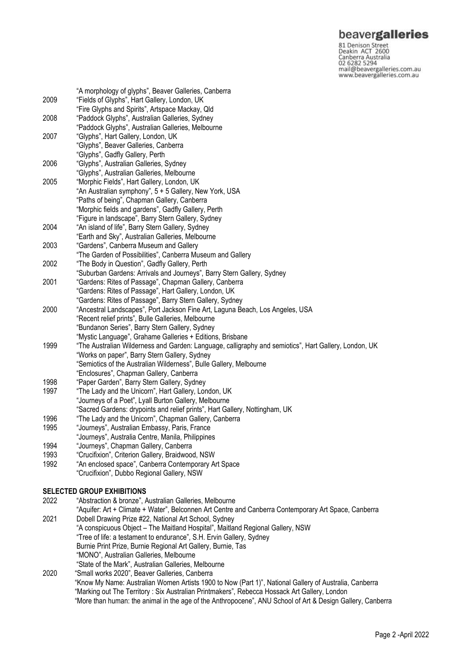**beavergalleries**<br> **81 Denison Street**<br>
Deakin ACT 2600<br>
Canberra Australia<br>
02 6282 5294<br>
mail@beavergalleries.com.au<br>
www.beavergalleries.com.au

| 2009 | "A morphology of glyphs", Beaver Galleries, Canberra<br>"Fields of Glyphs", Hart Gallery, London, UK                                                                                                   |
|------|--------------------------------------------------------------------------------------------------------------------------------------------------------------------------------------------------------|
|      | "Fire Glyphs and Spirits", Artspace Mackay, Qld                                                                                                                                                        |
| 2008 | "Paddock Glyphs", Australian Galleries, Sydney                                                                                                                                                         |
|      | "Paddock Glyphs", Australian Galleries, Melbourne                                                                                                                                                      |
| 2007 | "Glyphs", Hart Gallery, London, UK                                                                                                                                                                     |
|      | "Glyphs", Beaver Galleries, Canberra                                                                                                                                                                   |
|      | "Glyphs", Gadfly Gallery, Perth                                                                                                                                                                        |
| 2006 | "Glyphs", Australian Galleries, Sydney                                                                                                                                                                 |
|      | "Glyphs", Australian Galleries, Melbourne                                                                                                                                                              |
| 2005 | "Morphic Fields", Hart Gallery, London, UK                                                                                                                                                             |
|      | "An Australian symphony", 5 + 5 Gallery, New York, USA                                                                                                                                                 |
|      | "Paths of being", Chapman Gallery, Canberra                                                                                                                                                            |
|      | "Morphic fields and gardens", Gadfly Gallery, Perth                                                                                                                                                    |
|      | "Figure in landscape", Barry Stern Gallery, Sydney                                                                                                                                                     |
| 2004 | "An island of life", Barry Stern Gallery, Sydney                                                                                                                                                       |
|      | "Earth and Sky", Australian Galleries, Melbourne                                                                                                                                                       |
| 2003 | "Gardens", Canberra Museum and Gallery                                                                                                                                                                 |
|      | "The Garden of Possibilities", Canberra Museum and Gallery                                                                                                                                             |
| 2002 | "The Body in Question", Gadfly Gallery, Perth                                                                                                                                                          |
|      | "Suburban Gardens: Arrivals and Journeys", Barry Stern Gallery, Sydney                                                                                                                                 |
| 2001 | "Gardens: Rites of Passage", Chapman Gallery, Canberra                                                                                                                                                 |
|      | "Gardens: Rites of Passage", Hart Gallery, London, UK                                                                                                                                                  |
|      | "Gardens: Rites of Passage", Barry Stern Gallery, Sydney                                                                                                                                               |
| 2000 | "Ancestral Landscapes", Port Jackson Fine Art, Laguna Beach, Los Angeles, USA                                                                                                                          |
|      | "Recent relief prints", Bulle Galleries, Melbourne                                                                                                                                                     |
|      | "Bundanon Series", Barry Stern Gallery, Sydney                                                                                                                                                         |
|      | "Mystic Language", Grahame Galleries + Editions, Brisbane                                                                                                                                              |
| 1999 | "The Australian Wilderness and Garden: Language, calligraphy and semiotics", Hart Gallery, London, UK                                                                                                  |
|      | "Works on paper", Barry Stern Gallery, Sydney<br>"Semiotics of the Australian Wilderness", Bulle Gallery, Melbourne                                                                                    |
|      | "Enclosures", Chapman Gallery, Canberra                                                                                                                                                                |
| 1998 | "Paper Garden", Barry Stern Gallery, Sydney                                                                                                                                                            |
| 1997 | "The Lady and the Unicorn", Hart Gallery, London, UK                                                                                                                                                   |
|      | "Journeys of a Poet", Lyall Burton Gallery, Melbourne                                                                                                                                                  |
|      | "Sacred Gardens: drypoints and relief prints", Hart Gallery, Nottingham, UK                                                                                                                            |
| 1996 | "The Lady and the Unicorn", Chapman Gallery, Canberra                                                                                                                                                  |
| 1995 | "Journeys", Australian Embassy, Paris, France                                                                                                                                                          |
|      | "Journeys", Australia Centre, Manila, Philippines                                                                                                                                                      |
| 1994 | "Journeys", Chapman Gallery, Canberra                                                                                                                                                                  |
| 1993 | "Crucifixion", Criterion Gallery, Braidwood, NSW                                                                                                                                                       |
| 1992 | "An enclosed space", Canberra Contemporary Art Space                                                                                                                                                   |
|      | "Crucifixion", Dubbo Regional Gallery, NSW                                                                                                                                                             |
|      |                                                                                                                                                                                                        |
|      | <b>SELECTED GROUP EXHIBITIONS</b>                                                                                                                                                                      |
| 2022 | "Abstraction & bronze", Australian Galleries, Melbourne                                                                                                                                                |
|      | "Aquifer: Art + Climate + Water", Belconnen Art Centre and Canberra Contemporary Art Space, Canberra                                                                                                   |
| 2021 | Dobell Drawing Prize #22, National Art School, Sydney                                                                                                                                                  |
|      | "A conspicuous Object - The Maitland Hospital", Maitland Regional Gallery, NSW                                                                                                                         |
|      | "Tree of life: a testament to endurance", S.H. Ervin Gallery, Sydney                                                                                                                                   |
|      | Burnie Print Prize, Burnie Regional Art Gallery, Burnie, Tas                                                                                                                                           |
|      | "MONO", Australian Galleries, Melbourne                                                                                                                                                                |
|      | "State of the Mark", Australian Galleries, Melbourne                                                                                                                                                   |
| 2020 | "Small works 2020", Beaver Galleries, Canberra                                                                                                                                                         |
|      | "Know My Name: Australian Women Artists 1900 to Now (Part 1)", National Gallery of Australia, Canberra<br>"Marking out The Territory: Six Australian Printmakers", Rebecca Hossack Art Gallery, London |
|      | "More than human: the animal in the age of the Anthropocene", ANU School of Art & Design Gallery, Canberra                                                                                             |
|      |                                                                                                                                                                                                        |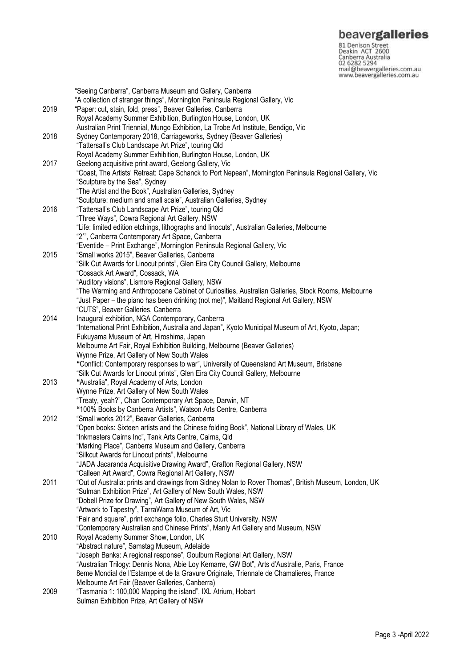**beavergalleries**<br> **81 Denison Street**<br>
Deakin ACT 2600<br>
Canberra Australia<br>
02 6282 5294<br>
mail@beavergalleries.com.au<br>
www.beavergalleries.com.au

|      | "Seeing Canberra", Canberra Museum and Gallery, Canberra                                               |
|------|--------------------------------------------------------------------------------------------------------|
|      | "A collection of stranger things", Mornington Peninsula Regional Gallery, Vic                          |
| 2019 | "Paper: cut, stain, fold, press", Beaver Galleries, Canberra                                           |
|      | Royal Academy Summer Exhibition, Burlington House, London, UK                                          |
|      | Australian Print Triennial, Mungo Exhibition, La Trobe Art Institute, Bendigo, Vic                     |
| 2018 | Sydney Contemporary 2018, Carriageworks, Sydney (Beaver Galleries)                                     |
|      | "Tattersall's Club Landscape Art Prize", touring Qld                                                   |
|      | Royal Academy Summer Exhibition, Burlington House, London, UK                                          |
| 2017 | Geelong acquisitive print award, Geelong Gallery, Vic                                                  |
|      | "Coast, The Artists' Retreat: Cape Schanck to Port Nepean", Mornington Peninsula Regional Gallery, Vic |
|      | "Sculpture by the Sea", Sydney                                                                         |
|      |                                                                                                        |
|      | "The Artist and the Book", Australian Galleries, Sydney                                                |
|      | "Sculpture: medium and small scale", Australian Galleries, Sydney                                      |
| 2016 | "Tattersall's Club Landscape Art Prize", touring Qld                                                   |
|      | "Three Ways", Cowra Regional Art Gallery, NSW                                                          |
|      | "Life: limited edition etchings, lithographs and linocuts", Australian Galleries, Melbourne            |
|      | "2"", Canberra Contemporary Art Space, Canberra                                                        |
|      | "Eventide - Print Exchange", Mornington Peninsula Regional Gallery, Vic                                |
| 2015 | "Small works 2015", Beaver Galleries, Canberra                                                         |
|      | "Silk Cut Awards for Linocut prints", Glen Eira City Council Gallery, Melbourne                        |
|      | "Cossack Art Award", Cossack, WA                                                                       |
|      | "Auditory visions", Lismore Regional Gallery, NSW                                                      |
|      | "The Warming and Anthropocene Cabinet of Curiosities, Australian Galleries, Stock Rooms, Melbourne     |
|      | "Just Paper - the piano has been drinking (not me)", Maitland Regional Art Gallery, NSW                |
|      | "CUTS", Beaver Galleries, Canberra                                                                     |
| 2014 | Inaugural exhibition, NGA Contemporary, Canberra                                                       |
|      | "International Print Exhibition, Australia and Japan", Kyoto Municipal Museum of Art, Kyoto, Japan;    |
|      | Fukuyama Museum of Art, Hiroshima, Japan                                                               |
|      | Melbourne Art Fair, Royal Exhibition Building, Melbourne (Beaver Galleries)                            |
|      | Wynne Prize, Art Gallery of New South Wales                                                            |
|      | "Conflict: Contemporary responses to war", University of Queensland Art Museum, Brisbane               |
|      | "Silk Cut Awards for Linocut prints", Glen Eira City Council Gallery, Melbourne                        |
| 2013 | "Australia", Royal Academy of Arts, London                                                             |
|      | Wynne Prize, Art Gallery of New South Wales                                                            |
|      | "Treaty, yeah?", Chan Contemporary Art Space, Darwin, NT                                               |
|      | "100% Books by Canberra Artists", Watson Arts Centre, Canberra                                         |
| 2012 | "Small works 2012", Beaver Galleries, Canberra                                                         |
|      | "Open books: Sixteen artists and the Chinese folding Book", National Library of Wales, UK              |
|      | "Inkmasters Cairns Inc", Tank Arts Centre, Cairns, Qld                                                 |
|      | "Marking Place", Canberra Museum and Gallery, Canberra                                                 |
|      | "Silkcut Awards for Linocut prints", Melbourne                                                         |
|      | "JADA Jacaranda Acquisitive Drawing Award", Grafton Regional Gallery, NSW                              |
|      | "Calleen Art Award", Cowra Regional Art Gallery, NSW                                                   |
| 2011 | "Out of Australia: prints and drawings from Sidney Nolan to Rover Thomas", British Museum, London, UK  |
|      | "Sulman Exhibition Prize", Art Gallery of New South Wales, NSW                                         |
|      | "Dobell Prize for Drawing", Art Gallery of New South Wales, NSW                                        |
|      | "Artwork to Tapestry", TarraWarra Museum of Art, Vic                                                   |
|      |                                                                                                        |
|      | "Fair and square", print exchange folio, Charles Sturt University, NSW                                 |
|      | "Contemporary Australian and Chinese Prints", Manly Art Gallery and Museum, NSW                        |
| 2010 | Royal Academy Summer Show, London, UK                                                                  |
|      | "Abstract nature", Samstag Museum, Adelaide                                                            |
|      | "Joseph Banks: A regional response", Goulburn Regional Art Gallery, NSW                                |
|      | "Australian Trilogy: Dennis Nona, Abie Loy Kemarre, GW Bot", Arts d'Australie, Paris, France           |
|      | 8eme Mondial de l'Estampe et de la Gravure Originale, Triennale de Chamalieres, France                 |
|      | Melbourne Art Fair (Beaver Galleries, Canberra)                                                        |
| 2009 | "Tasmania 1: 100,000 Mapping the island", IXL Atrium, Hobart                                           |
|      | Sulman Exhibition Prize, Art Gallery of NSW                                                            |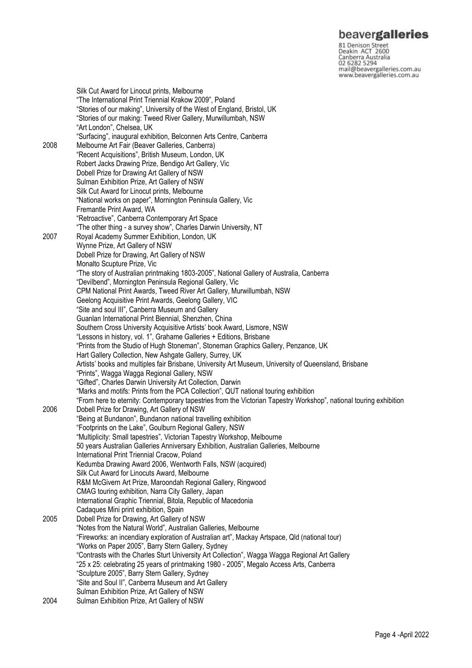## beavergalleries

81 Denison Street<br>Deakin ACT 2600 Canberra Australia 02 6282 5294 mail@beavergalleries.com.au www.beavergalleries.com.au

Silk Cut Award for Linocut prints, Melbourne "The International Print Triennial Krakow 2009", Poland "Stories of our making", University of the West of England, Bristol, UK "Stories of our making: Tweed River Gallery, Murwillumbah, NSW "Art London", Chelsea, UK "Surfacing", inaugural exhibition, Belconnen Arts Centre, Canberra 2008 Melbourne Art Fair (Beaver Galleries, Canberra) "Recent Acquisitions", British Museum, London, UK Robert Jacks Drawing Prize, Bendigo Art Gallery, Vic Dobell Prize for Drawing Art Gallery of NSW Sulman Exhibition Prize, Art Gallery of NSW Silk Cut Award for Linocut prints, Melbourne "National works on paper", Mornington Peninsula Gallery, Vic Fremantle Print Award, WA "Retroactive", Canberra Contemporary Art Space "The other thing - a survey show", Charles Darwin University, NT 2007 Royal Academy Summer Exhibition, London, UK Wynne Prize, Art Gallery of NSW Dobell Prize for Drawing, Art Gallery of NSW Monalto Scupture Prize, Vic "The story of Australian printmaking 1803-2005", National Gallery of Australia, Canberra "Devilbend", Mornington Peninsula Regional Gallery, Vic CPM National Print Awards, Tweed River Art Gallery, Murwillumbah, NSW Geelong Acquisitive Print Awards, Geelong Gallery, VIC "Site and soul III", Canberra Museum and Gallery Guanlan International Print Biennial, Shenzhen, China Southern Cross University Acquisitive Artists' book Award, Lismore, NSW "Lessons in history, vol. 1", Grahame Galleries + Editions, Brisbane "Prints from the Studio of Hugh Stoneman", Stoneman Graphics Gallery, Penzance, UK Hart Gallery Collection, New Ashgate Gallery, Surrey, UK Artists' books and multiples fair Brisbane, University Art Museum, University of Queensland, Brisbane "Prints", Wagga Wagga Regional Gallery, NSW "Gifted", Charles Darwin University Art Collection, Darwin "Marks and motifs: Prints from the PCA Collection", QUT national touring exhibition "From here to eternity: Contemporary tapestries from the Victorian Tapestry Workshop", national touring exhibition 2006 Dobell Prize for Drawing, Art Gallery of NSW "Being at Bundanon", Bundanon national travelling exhibition "Footprints on the Lake", Goulburn Regional Gallery, NSW "Multiplicity: Small tapestries", Victorian Tapestry Workshop, Melbourne 50 years Australian Galleries Anniversary Exhibition, Australian Galleries, Melbourne International Print Triennial Cracow, Poland Kedumba Drawing Award 2006, Wentworth Falls, NSW (acquired) Silk Cut Award for Linocuts Award, Melbourne R&M McGivern Art Prize, Maroondah Regional Gallery, Ringwood CMAG touring exhibition, Narra City Gallery, Japan International Graphic Triennial, Bitola, Republic of Macedonia Cadaques Mini print exhibition, Spain 2005 Dobell Prize for Drawing, Art Gallery of NSW "Notes from the Natural World", Australian Galleries, Melbourne "Fireworks: an incendiary exploration of Australian art", Mackay Artspace, Qld (national tour) "Works on Paper 2005", Barry Stern Gallery, Sydney "Contrasts with the Charles Sturt University Art Collection", Wagga Wagga Regional Art Gallery "25 x 25: celebrating 25 years of printmaking 1980 - 2005", Megalo Access Arts, Canberra "Sculpture 2005", Barry Stern Gallery, Sydney "Site and Soul II", Canberra Museum and Art Gallery Sulman Exhibition Prize, Art Gallery of NSW

2004 Sulman Exhibition Prize, Art Gallery of NSW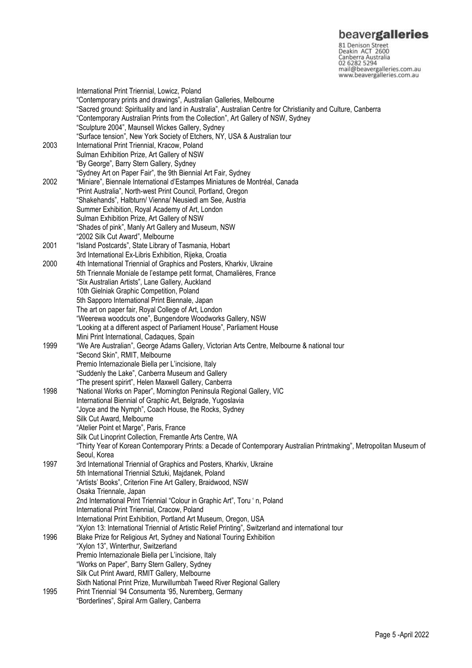81 Denison Street<br>Deakin ACT 2600 Canberra Australia 02 6282 5294 mail@beavergalleries.com.au www.beavergalleries.com.au

International Print Triennial, Lowicz, Poland "Contemporary prints and drawings", Australian Galleries, Melbourne "Sacred ground: Spirituality and land in Australia", Australian Centre for Christianity and Culture, Canberra "Contemporary Australian Prints from the Collection", Art Gallery of NSW, Sydney "Sculpture 2004", Maunsell Wickes Gallery, Sydney "Surface tension", New York Society of Etchers, NY, USA & Australian tour 2003 International Print Triennial, Kracow, Poland Sulman Exhibition Prize, Art Gallery of NSW "By George", Barry Stern Gallery, Sydney "Sydney Art on Paper Fair", the 9th Biennial Art Fair, Sydney 2002 "Miniare", Biennale International d'Estampes Miniatures de Montréal, Canada "Print Australia", North-west Print Council, Portland, Oregon "Shakehands", Halbturn/ Vienna/ Neusiedl am See, Austria Summer Exhibition, Royal Academy of Art, London Sulman Exhibition Prize, Art Gallery of NSW "Shades of pink", Manly Art Gallery and Museum, NSW "2002 Silk Cut Award", Melbourne 2001 "Island Postcards", State Library of Tasmania, Hobart 3rd International Ex-Libris Exhibition, Rijeka, Croatia 2000 4th International Triennial of Graphics and Posters, Kharkiv, Ukraine 5th Triennale Moniale de l'estampe petit format, Chamalières, France "Six Australian Artists", Lane Gallery, Auckland 10th Gielniak Graphic Competition, Poland 5th Sapporo International Print Biennale, Japan The art on paper fair, Royal College of Art, London "Weerewa woodcuts one", Bungendore Woodworks Gallery, NSW "Looking at a different aspect of Parliament House", Parliament House Mini Print International, Cadaques, Spain 1999 "We Are Australian", George Adams Gallery, Victorian Arts Centre, Melbourne & national tour "Second Skin", RMIT, Melbourne Premio Internazionale Biella per L'incisione, Italy "Suddenly the Lake", Canberra Museum and Gallery "The present spirirt", Helen Maxwell Gallery, Canberra 1998 "National Works on Paper", Mornington Peninsula Regional Gallery, VIC International Biennial of Graphic Art, Belgrade, Yugoslavia "Joyce and the Nymph", Coach House, the Rocks, Sydney Silk Cut Award, Melbourne "Atelier Point et Marge", Paris, France Silk Cut Linoprint Collection, Fremantle Arts Centre, WA "Thirty Year of Korean Contemporary Prints: a Decade of Contemporary Australian Printmaking", Metropolitan Museum of Seoul, Korea 1997 3rd International Triennial of Graphics and Posters, Kharkiv, Ukraine 5th International Triennial Sztuki, Majdanek, Poland "Artists' Books", Criterion Fine Art Gallery, Braidwood, NSW Osaka Triennale, Japan 2nd International Print Triennial "Colour in Graphic Art", Toru ' n, Poland International Print Triennial, Cracow, Poland International Print Exhibition, Portland Art Museum, Oregon, USA "Xylon 13: International Triennial of Artistic Relief Printing", Switzerland and international tour 1996 Blake Prize for Religious Art, Sydney and National Touring Exhibition "Xylon 13", Winterthur, Switzerland Premio Internazionale Biella per L'incisione, Italy "Works on Paper", Barry Stern Gallery, Sydney Silk Cut Print Award, RMIT Gallery, Melbourne Sixth National Print Prize, Murwillumbah Tweed River Regional Gallery 1995 Print Triennial '94 Consumenta '95, Nuremberg, Germany "Borderlines", Spiral Arm Gallery, Canberra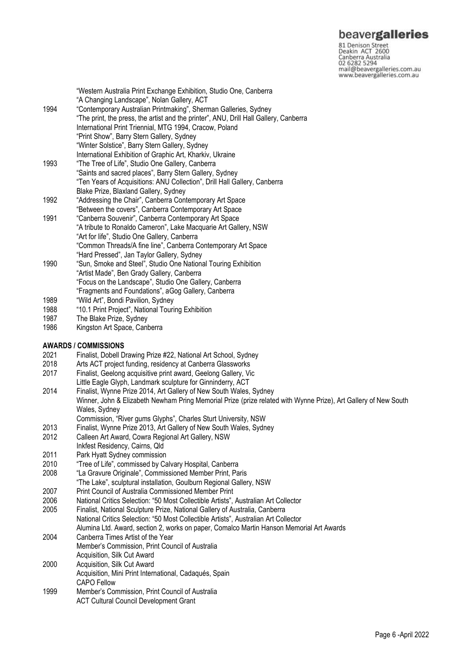## beavergalleries

81 Denison Street<br>Deakin ACT 2600 Canberra Australia mail@beavergalleries.com.au www.beavergalleries.com.au

|      | "Western Australia Print Exchange Exhibition, Studio One, Canberra<br>"A Changing Landscape", Nolan Gallery, ACT |
|------|------------------------------------------------------------------------------------------------------------------|
| 1994 | "Contemporary Australian Printmaking", Sherman Galleries, Sydney                                                 |
|      | "The print, the press, the artist and the printer", ANU, Drill Hall Gallery, Canberra                            |
|      | International Print Triennial, MTG 1994, Cracow, Poland                                                          |
|      | "Print Show", Barry Stern Gallery, Sydney                                                                        |
|      | "Winter Solstice", Barry Stern Gallery, Sydney                                                                   |
|      | International Exhibition of Graphic Art, Kharkiv, Ukraine                                                        |
| 1993 | "The Tree of Life", Studio One Gallery, Canberra                                                                 |
|      | "Saints and sacred places", Barry Stern Gallery, Sydney                                                          |
|      | "Ten Years of Acquisitions: ANU Collection", Drill Hall Gallery, Canberra                                        |
|      | Blake Prize, Blaxland Gallery, Sydney                                                                            |
| 1992 | "Addressing the Chair", Canberra Contemporary Art Space                                                          |
|      | "Between the covers", Canberra Contemporary Art Space                                                            |
| 1991 | "Canberra Souvenir", Canberra Contemporary Art Space                                                             |
|      | "A tribute to Ronaldo Cameron", Lake Macquarie Art Gallery, NSW                                                  |
|      | "Art for life", Studio One Gallery, Canberra                                                                     |
|      | "Common Threads/A fine line", Canberra Contemporary Art Space                                                    |
|      | "Hard Pressed", Jan Taylor Gallery, Sydney                                                                       |
| 1990 | "Sun, Smoke and Steel", Studio One National Touring Exhibition                                                   |
|      | "Artist Made", Ben Grady Gallery, Canberra                                                                       |
|      | "Focus on the Landscape", Studio One Gallery, Canberra                                                           |

- "Fragments and Foundations", aGog Gallery, Canberra 1989 "Wild Art", Bondi Pavilion, Sydney
- 1988 "10.1 Print Project", National Touring Exhibition
- 1987 The Blake Prize, Sydney<br>1986 Kingston Art Space, Can
- Kingston Art Space, Canberra

# **AWARDS / COMMISSIONS**

- 2021 Finalist, Dobell Drawing Prize #22, National Art School, Sydney<br>2018 Arts ACT project funding, residency at Canberra Glassworks
- Arts ACT project funding, residency at Canberra Glassworks
- 2017 Finalist, Geelong acquisitive print award, Geelong Gallery, Vic
- Little Eagle Glyph, Landmark sculpture for Ginninderry, ACT
- 2014 Finalist, Wynne Prize 2014, Art Gallery of New South Wales, Sydney Winner, John & Elizabeth Newham Pring Memorial Prize (prize related with Wynne Prize), Art Gallery of New South Wales, Sydney
- Commission, "River gums Glyphs", Charles Sturt University, NSW
- 2013 Finalist, Wynne Prize 2013, Art Gallery of New South Wales, Sydney
- 2012 Calleen Art Award, Cowra Regional Art Gallery, NSW
- Inkfest Residency, Cairns, Qld
- 2011 Park Hyatt Sydney commission<br>2010 "Tree of Life" commissed by Ca
- 2010 "Tree of Life", commissed by Calvary Hospital, Canberra
- "La Gravure Originale", Commissioned Member Print, Paris
- "The Lake", sculptural installation, Goulburn Regional Gallery, NSW
- 2007 Print Council of Australia Commissioned Member Print
- 2006 National Critics Selection: "50 Most Collectible Artists", Australian Art Collector<br>2005 Finalist, National Sculpture Prize, National Gallery of Australia, Canberra 2005 Finalist, National Sculpture Prize, National Gallery of Australia, Canberra National Critics Selection: "50 Most Collectible Artists", Australian Art Collector
- Alumina Ltd. Award, section 2, works on paper, Comalco Martin Hanson Memorial Art Awards 2004 Canberra Times Artist of the Year
- Member's Commission, Print Council of Australia Acquisition, Silk Cut Award
- 2000 Acquisition, Silk Cut Award
- Acquisition, Mini Print International, Cadaqués, Spain CAPO Fellow
- 1999 Member's Commission, Print Council of Australia ACT Cultural Council Development Grant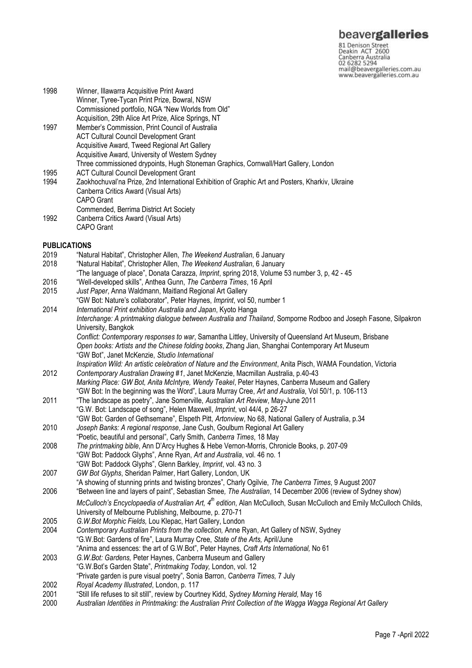**beavergalleries**<br> **81 Denison Street**<br>
Deakin ACT 2600<br>
Canberra Australia<br>
02 6282 5294<br>
mail@beavergalleries.com.au<br>
www.beavergalleries.com.au

| 1998                | Winner, Illawarra Acquisitive Print Award<br>Winner, Tyree-Tycan Print Prize, Bowral, NSW<br>Commissioned portfolio, NGA "New Worlds from Old"                                                                                                                                                        |
|---------------------|-------------------------------------------------------------------------------------------------------------------------------------------------------------------------------------------------------------------------------------------------------------------------------------------------------|
| 1997                | Acquisition, 29th Alice Art Prize, Alice Springs, NT<br>Member's Commission, Print Council of Australia<br><b>ACT Cultural Council Development Grant</b><br>Acquisitive Award, Tweed Regional Art Gallery<br>Acquisitive Award, University of Western Sydney                                          |
| 1995<br>1994        | Three commissioned drypoints, Hugh Stoneman Graphics, Cornwall/Hart Gallery, London<br><b>ACT Cultural Council Development Grant</b><br>Zaokhochuval'na Prize, 2nd International Exhibition of Graphic Art and Posters, Kharkiv, Ukraine<br>Canberra Critics Award (Visual Arts)<br><b>CAPO</b> Grant |
| 1992                | Commended, Berrima District Art Society<br>Canberra Critics Award (Visual Arts)<br><b>CAPO Grant</b>                                                                                                                                                                                                  |
| <b>PUBLICATIONS</b> |                                                                                                                                                                                                                                                                                                       |
| 2019                | "Natural Habitat", Christopher Allen, The Weekend Australian, 6 January                                                                                                                                                                                                                               |
| 2018                | "Natural Habitat", Christopher Allen, The Weekend Australian, 6 January                                                                                                                                                                                                                               |
|                     | "The language of place", Donata Carazza, Imprint, spring 2018, Volume 53 number 3, p, 42 - 45                                                                                                                                                                                                         |
| 2016<br>2015        | "Well-developed skills", Anthea Gunn, The Canberra Times, 16 April<br>Just Paper, Anna Waldmann, Maitland Regional Art Gallery                                                                                                                                                                        |
|                     | "GW Bot: Nature's collaborator", Peter Haynes, Imprint, vol 50, number 1                                                                                                                                                                                                                              |
| 2014                | International Print exhibition Australia and Japan, Kyoto Hanga                                                                                                                                                                                                                                       |
|                     | Interchange: A printmaking dialogue between Australia and Thailand, Somporne Rodboo and Joseph Fasone, Silpakron                                                                                                                                                                                      |
|                     | University, Bangkok                                                                                                                                                                                                                                                                                   |
|                     | Conflict: Contemporary responses to war, Samantha Littley, University of Queensland Art Museum, Brisbane                                                                                                                                                                                              |
|                     | Open books: Artists and the Chinese folding books, Zhang Jian, Shanghai Contemporary Art Museum                                                                                                                                                                                                       |
|                     | "GW Bot", Janet McKenzie, Studio International<br>Inspiration Wild: An artistic celebration of Nature and the Environment, Anita Pisch, WAMA Foundation, Victoria                                                                                                                                     |
| 2012                | Contemporary Australian Drawing #1, Janet McKenzie, Macmillan Australia, p.40-43                                                                                                                                                                                                                      |
|                     | Marking Place: GW Bot, Anita McIntyre, Wendy Teakel, Peter Haynes, Canberra Museum and Gallery                                                                                                                                                                                                        |
|                     | "GW Bot: In the beginning was the Word", Laura Murray Cree, Art and Australia, Vol 50/1, p. 106-113                                                                                                                                                                                                   |
| 2011                | "The landscape as poetry", Jane Somerville, Australian Art Review, May-June 2011                                                                                                                                                                                                                      |
|                     | "G.W. Bot: Landscape of song", Helen Maxwell, Imprint, vol 44/4, p 26-27                                                                                                                                                                                                                              |
| 2010                | "GW Bot: Garden of Gethsemane", Elspeth Pitt, Artonview, No 68, National Gallery of Australia, p.34<br>Joseph Banks: A regional response, Jane Cush, Goulburn Regional Art Gallery                                                                                                                    |
|                     | "Poetic, beautiful and personal", Carly Smith, Canberra Times, 18 May                                                                                                                                                                                                                                 |
| 2008                | The printmaking bible, Ann D'Arcy Hughes & Hebe Vernon-Morris, Chronicle Books, p. 207-09                                                                                                                                                                                                             |
|                     | "GW Bot: Paddock Glyphs", Anne Ryan, Art and Australia, vol. 46 no. 1                                                                                                                                                                                                                                 |
|                     | "GW Bot: Paddock Glyphs", Glenn Barkley, Imprint, vol. 43 no. 3                                                                                                                                                                                                                                       |
| 2007                | GW Bot Glyphs, Sheridan Palmer, Hart Gallery, London, UK                                                                                                                                                                                                                                              |
|                     | "A showing of stunning prints and twisting bronzes", Charly Ogilvie, The Canberra Times, 9 August 2007                                                                                                                                                                                                |
| 2006                | "Between line and layers of paint", Sebastian Smee, The Australian, 14 December 2006 (review of Sydney show)                                                                                                                                                                                          |
|                     | McCulloch's Encyclopaedia of Australian Art, 4 <sup>th</sup> edition, Alan McCulloch, Susan McCulloch and Emily McCulloch Childs,<br>University of Melbourne Publishing, Melbourne, p. 270-71                                                                                                         |
| 2005                | G.W.Bot Morphic Fields, Lou Klepac, Hart Gallery, London                                                                                                                                                                                                                                              |
| 2004                | Contemporary Australian Prints from the collection, Anne Ryan, Art Gallery of NSW, Sydney                                                                                                                                                                                                             |
|                     | "G.W.Bot: Gardens of fire", Laura Murray Cree, State of the Arts, April/June                                                                                                                                                                                                                          |
|                     | "Anima and essences: the art of G.W.Bot", Peter Haynes, Craft Arts International, No 61                                                                                                                                                                                                               |
| 2003                | G.W.Bot: Gardens, Peter Haynes, Canberra Museum and Gallery                                                                                                                                                                                                                                           |
|                     | "G.W.Bot's Garden State", Printmaking Today, London, vol. 12                                                                                                                                                                                                                                          |
| 2002                | "Private garden is pure visual poetry", Sonia Barron, Canberra Times, 7 July<br>Royal Academy Illustrated, London, p. 117                                                                                                                                                                             |
| 2001                | "Still life refuses to sit still", review by Courtney Kidd, Sydney Morning Herald, May 16                                                                                                                                                                                                             |
| 2000                | Identities in Driptmelring the Australian Dript Collection of the Illegge Megas Degional                                                                                                                                                                                                              |